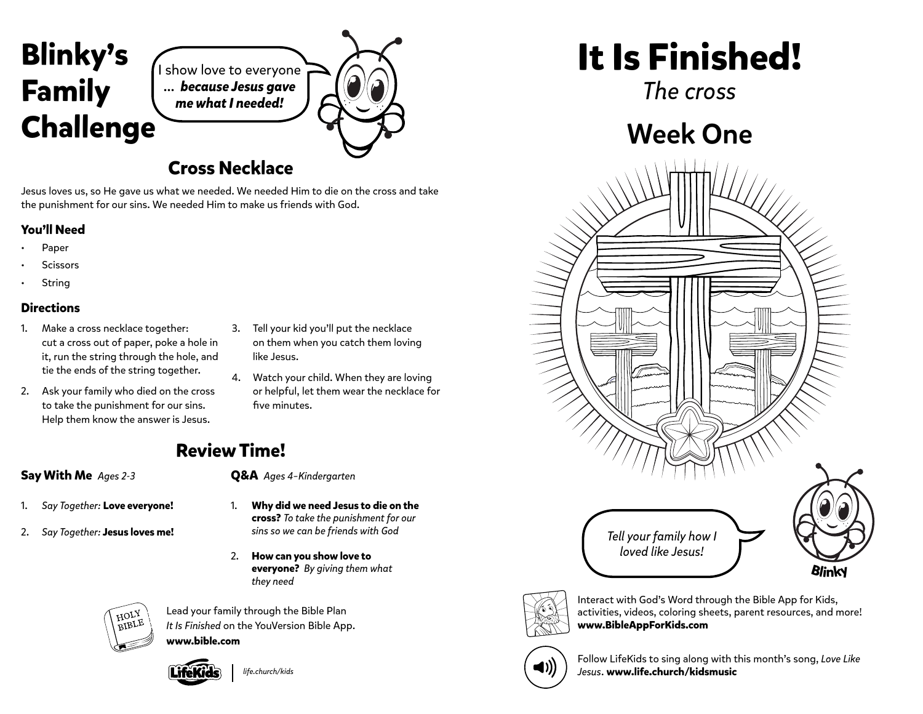

I show love to everyone ... *because Jesus gave me what I needed!*

### **Cross Necklace**

Jesus loves us, so He gave us what we needed. We needed Him to die on the cross and take the punishment for our sins. We needed Him to make us friends with God.

### **You'll Need**

- Paper
- **Scissors**
- **String**

#### **Directions**

- 1. Make a cross necklace together: cut a cross out of paper, poke a hole in it, run the string through the hole, and tie the ends of the string together.
- 2. Ask your family who died on the cross to take the punishment for our sins. Help them know the answer is Jesus.
- 3. Tell your kid you'll put the necklace on them when you catch them loving like Jesus.
- 4. Watch your child. When they are loving or helpful, let them wear the necklace for five minutes.

## **Review Time!**

### **Say With Me** *Ages 2-3*

- 1. *Say Together:* **Love everyone!**
- 2. *Say Together:* **Jesus loves me!**
- - **Q&A** *Ages 4–Kindergarten*
	- 1. **Why did we need Jesus to die on the cross?** *To take the punishment for our sins so we can be friends with God*
	- 2. **How can you show love to everyone?** *By giving them what they need*



Lead your family through the Bible Plan *It Is Finished* on the YouVersion Bible App. **www.bible.com**



*life.church/kids*

**It Is Finished!**

*The cross*

# Week One





Interact with God's Word through the Bible App for Kids, activities, videos, coloring sheets, parent resources, and more! **www.BibleAppForKids.com**



Follow LifeKids to sing along with this month's song, *Love Like Jesus*. **www.life.church/kidsmusic**